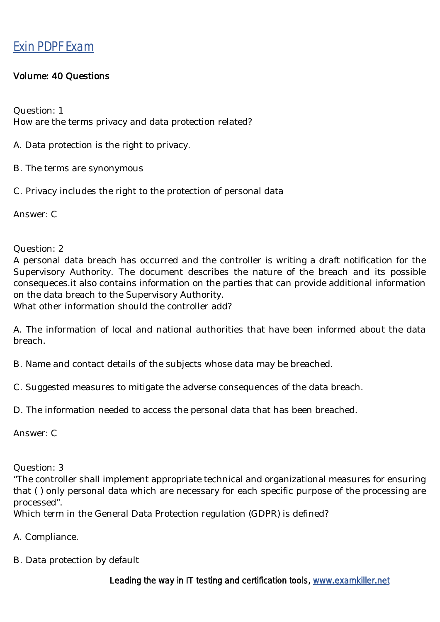## Exin PDPF [Exam](https://www.examkiller.net/exam-PDPF.html)

## Volume: 40 Questions

Question: 1 How are the terms privacy and data protection related?

- A. Data protection is the right to privacy.
- B. The terms are synonymous
- C. Privacy includes the right to the protection of personal data

Answer: C

Question: 2

A personal data breach has occurred and the controller is writing a draft notification for the Supervisory Authority. The document describes the nature of the breach and its possible consequeces.it also contains information on the parties that can provide additional information on the data breach to the Supervisory Authority.

What other information should the controller add?

A. The information of local and national authorities that have been informed about the data breach.

B. Name and contact details of the subjects whose data may be breached.

C. Suggested measures to mitigate the adverse consequences of the data breach.

D. The information needed to access the personal data that has been breached.

Answer: C

Question: 3

"The controller shall implement appropriate technical and organizational measures for ensuring that ( ) only personal data which are necessary for each specific purpose of the processing are processed".

Which term in the General Data Protection regulation (GDPR) is defined?

- A. Compliance.
- B. Data protection by default

Leading the way in IT testing and certification tools, www.examkiller.net